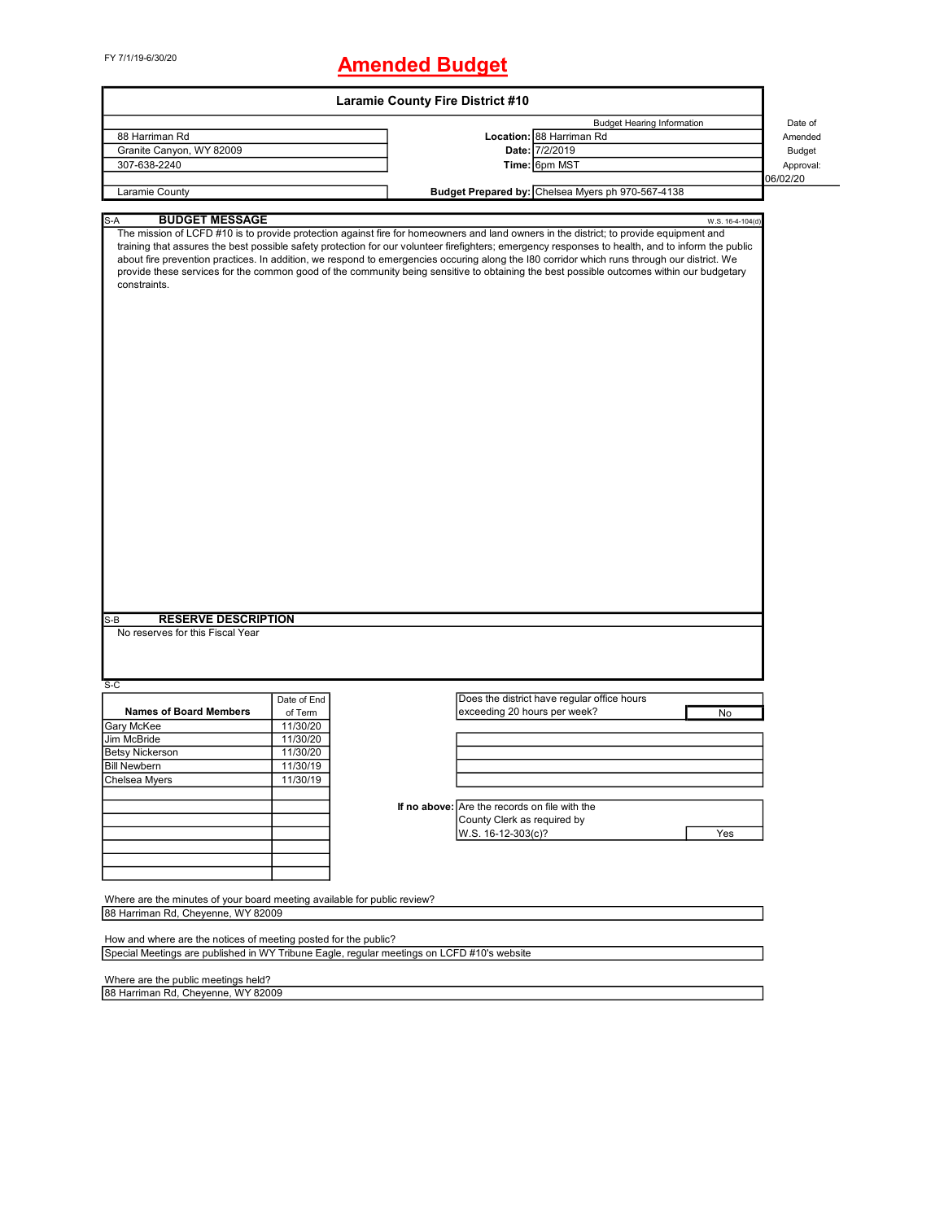# FY 7/1/19-6/30/20 **Amended Budget**

|                                                                                         |             | <b>Laramie County Fire District #10</b>                                                                                                                                                                                                                                                                                                                                                                                                                                                                                                                                                |               |
|-----------------------------------------------------------------------------------------|-------------|----------------------------------------------------------------------------------------------------------------------------------------------------------------------------------------------------------------------------------------------------------------------------------------------------------------------------------------------------------------------------------------------------------------------------------------------------------------------------------------------------------------------------------------------------------------------------------------|---------------|
|                                                                                         |             | <b>Budget Hearing Information</b>                                                                                                                                                                                                                                                                                                                                                                                                                                                                                                                                                      | Date of       |
| 88 Harriman Rd                                                                          |             | Location: 88 Harriman Rd                                                                                                                                                                                                                                                                                                                                                                                                                                                                                                                                                               | Amended       |
| Granite Canyon, WY 82009                                                                |             | Date: 7/2/2019                                                                                                                                                                                                                                                                                                                                                                                                                                                                                                                                                                         | <b>Budget</b> |
| 307-638-2240                                                                            |             | Time: 6pm MST                                                                                                                                                                                                                                                                                                                                                                                                                                                                                                                                                                          | Approval:     |
|                                                                                         |             |                                                                                                                                                                                                                                                                                                                                                                                                                                                                                                                                                                                        | 06/02/20      |
| Laramie County                                                                          |             | Budget Prepared by: Chelsea Myers ph 970-567-4138                                                                                                                                                                                                                                                                                                                                                                                                                                                                                                                                      |               |
|                                                                                         |             |                                                                                                                                                                                                                                                                                                                                                                                                                                                                                                                                                                                        |               |
| $S-A$<br><b>BUDGET MESSAGE</b>                                                          |             | W.S. 16-4-104(d)                                                                                                                                                                                                                                                                                                                                                                                                                                                                                                                                                                       |               |
| constraints.<br><b>RESERVE DESCRIPTION</b><br>$S-B$<br>No reserves for this Fiscal Year |             | The mission of LCFD #10 is to provide protection against fire for homeowners and land owners in the district; to provide equipment and<br>training that assures the best possible safety protection for our volunteer firefighters; emergency responses to health, and to inform the public<br>about fire prevention practices. In addition, we respond to emergencies occuring along the I80 corridor which runs through our district. We<br>provide these services for the common good of the community being sensitive to obtaining the best possible outcomes within our budgetary |               |
| $S-C$                                                                                   |             |                                                                                                                                                                                                                                                                                                                                                                                                                                                                                                                                                                                        |               |
|                                                                                         | Date of End | Does the district have regular office hours                                                                                                                                                                                                                                                                                                                                                                                                                                                                                                                                            |               |
| <b>Names of Board Members</b>                                                           | of Term     | exceeding 20 hours per week?<br>No                                                                                                                                                                                                                                                                                                                                                                                                                                                                                                                                                     |               |
| Gary McKee                                                                              | 11/30/20    |                                                                                                                                                                                                                                                                                                                                                                                                                                                                                                                                                                                        |               |
| Jim McBride                                                                             | 11/30/20    |                                                                                                                                                                                                                                                                                                                                                                                                                                                                                                                                                                                        |               |
| <b>Betsy Nickerson</b>                                                                  | 11/30/20    |                                                                                                                                                                                                                                                                                                                                                                                                                                                                                                                                                                                        |               |
| <b>Bill Newbern</b>                                                                     | 11/30/19    |                                                                                                                                                                                                                                                                                                                                                                                                                                                                                                                                                                                        |               |
| Chelsea Myers                                                                           | 11/30/19    |                                                                                                                                                                                                                                                                                                                                                                                                                                                                                                                                                                                        |               |
|                                                                                         |             |                                                                                                                                                                                                                                                                                                                                                                                                                                                                                                                                                                                        |               |
|                                                                                         |             | If no above: Are the records on file with the                                                                                                                                                                                                                                                                                                                                                                                                                                                                                                                                          |               |
|                                                                                         |             | County Clerk as required by                                                                                                                                                                                                                                                                                                                                                                                                                                                                                                                                                            |               |
|                                                                                         |             | W.S. 16-12-303(c)?<br>Yes                                                                                                                                                                                                                                                                                                                                                                                                                                                                                                                                                              |               |
|                                                                                         |             |                                                                                                                                                                                                                                                                                                                                                                                                                                                                                                                                                                                        |               |
|                                                                                         |             |                                                                                                                                                                                                                                                                                                                                                                                                                                                                                                                                                                                        |               |
|                                                                                         |             |                                                                                                                                                                                                                                                                                                                                                                                                                                                                                                                                                                                        |               |
| Where are the minutes of your board meeting available for public review?                |             |                                                                                                                                                                                                                                                                                                                                                                                                                                                                                                                                                                                        |               |
| 88 Harriman Rd, Cheyenne, WY 82009                                                      |             |                                                                                                                                                                                                                                                                                                                                                                                                                                                                                                                                                                                        |               |
|                                                                                         |             |                                                                                                                                                                                                                                                                                                                                                                                                                                                                                                                                                                                        |               |
| How and where are the notices of meeting posted for the public?                         |             | Special Meetings are published in WY Tribune Eagle, regular meetings on LCFD #10's website                                                                                                                                                                                                                                                                                                                                                                                                                                                                                             |               |
|                                                                                         |             |                                                                                                                                                                                                                                                                                                                                                                                                                                                                                                                                                                                        |               |
| Where are the public meetings held?                                                     |             |                                                                                                                                                                                                                                                                                                                                                                                                                                                                                                                                                                                        |               |
| 88 Harriman Rd, Cheyenne, WY 82009                                                      |             |                                                                                                                                                                                                                                                                                                                                                                                                                                                                                                                                                                                        |               |

88 Harriman Rd, Cheyenne, WY 82009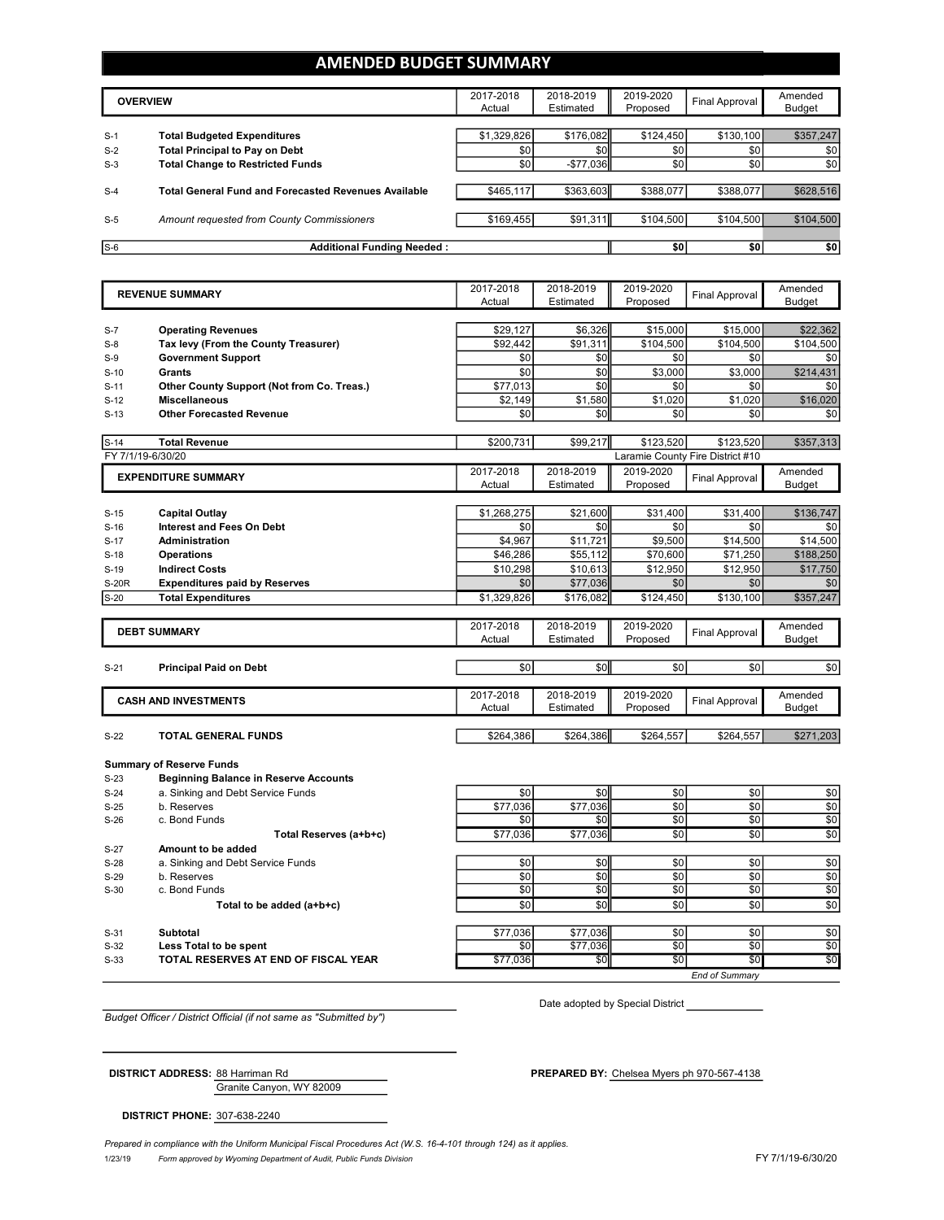#### **AMENDED BUDGET SUMMARY**

|       | <b>OVERVIEW</b>                                             | 2017-2018<br>Actual | 2018-2019<br>Estimated | 2019-2020<br>Proposed | Final Approval | Amended<br>Budget |
|-------|-------------------------------------------------------------|---------------------|------------------------|-----------------------|----------------|-------------------|
| $S-1$ | <b>Total Budgeted Expenditures</b>                          | \$1,329,826         | \$176,082              | \$124,450             | \$130,100      | \$357,247         |
| $S-2$ | <b>Total Principal to Pay on Debt</b>                       | \$0                 | \$0                    | \$0                   | \$0            | \$0               |
| $S-3$ | <b>Total Change to Restricted Funds</b>                     | \$0                 | $-$77,036$             | \$0                   | \$0            | \$0               |
| $S-4$ | <b>Total General Fund and Forecasted Revenues Available</b> | \$465,117           | \$363,603              | \$388,077             | \$388,077      | \$628,516         |
| $S-5$ | Amount requested from County Commissioners                  | \$169.455           | \$91,311               | \$104,500             | \$104,500      | \$104,500         |
| $S-6$ | <b>Additional Funding Needed:</b>                           |                     |                        | \$0                   | \$0            | \$0               |

|                   | <b>REVENUE SUMMARY</b>                                                          | 2017-2018<br>Actual | 2018-2019<br>Estimated | 2019-2020<br>Proposed | <b>Final Approval</b>            | Amended<br><b>Budget</b> |
|-------------------|---------------------------------------------------------------------------------|---------------------|------------------------|-----------------------|----------------------------------|--------------------------|
|                   |                                                                                 |                     |                        |                       |                                  |                          |
| $S-7$             | <b>Operating Revenues</b>                                                       | \$29,127            | \$6,326                | \$15,000              | \$15,000                         | \$22,362                 |
| $S-8$             | Tax levy (From the County Treasurer)                                            | \$92,442            | \$91,311               | \$104,500             | \$104,500                        | \$104,500                |
| $S-9$             | <b>Government Support</b>                                                       | \$0                 | \$0                    | \$0                   | \$0                              | \$0                      |
| $S-10$            | <b>Grants</b>                                                                   | \$0                 | \$0                    | \$3,000               | \$3,000                          | \$214,431                |
| $S-11$            | Other County Support (Not from Co. Treas.)                                      | \$77,013            | \$0                    | \$0                   | \$0                              | \$0                      |
| $S-12$            | <b>Miscellaneous</b>                                                            | \$2,149             | \$1,580                | \$1,020               | \$1,020                          | \$16,020                 |
| $S-13$            | <b>Other Forecasted Revenue</b>                                                 | \$0                 | \$0                    | \$0                   | \$0                              | \$0                      |
|                   |                                                                                 |                     |                        |                       |                                  |                          |
| $S-14$            | <b>Total Revenue</b>                                                            | \$200,731           | \$99,217               | \$123,520             | \$123,520                        | \$357,313                |
| FY 7/1/19-6/30/20 |                                                                                 |                     |                        |                       | Laramie County Fire District #10 |                          |
|                   | <b>EXPENDITURE SUMMARY</b>                                                      | 2017-2018           | 2018-2019              | 2019-2020             | <b>Final Approval</b>            | Amended                  |
|                   |                                                                                 | Actual              | Estimated              | Proposed              |                                  | <b>Budget</b>            |
| $S-15$            | <b>Capital Outlay</b>                                                           | \$1,268,275         | \$21,600               | \$31,400              | \$31,400                         | \$136,747                |
| $S-16$            | <b>Interest and Fees On Debt</b>                                                | \$0                 | \$0                    | \$0                   | \$0                              | \$0                      |
| $S-17$            | <b>Administration</b>                                                           | \$4,967             | \$11,721               | \$9,500               | \$14,500                         | \$14,500                 |
| $S-18$            | <b>Operations</b>                                                               | \$46,286            | \$55,112               | \$70,600              | \$71,250                         | \$188,250                |
| $S-19$            | <b>Indirect Costs</b>                                                           | \$10,298            | \$10,613               | \$12,950              | \$12,950                         | \$17,750                 |
| <b>S-20R</b>      | <b>Expenditures paid by Reserves</b>                                            | \$0                 | \$77,036               | \$0                   | \$0                              | \$0                      |
| $S-20$            | <b>Total Expenditures</b>                                                       | \$1,329,826         | \$176,082              | \$124,450             | \$130,100                        | \$357,247                |
|                   |                                                                                 |                     |                        |                       |                                  |                          |
|                   | <b>DEBT SUMMARY</b>                                                             | 2017-2018           | 2018-2019              | 2019-2020             | <b>Final Approval</b>            | Amended                  |
|                   |                                                                                 | Actual              | Estimated              | Proposed              |                                  | <b>Budget</b>            |
|                   |                                                                                 |                     |                        |                       |                                  |                          |
| $S-21$            | <b>Principal Paid on Debt</b>                                                   | \$0                 | \$0                    | \$0                   | \$0                              | \$0                      |
|                   |                                                                                 | 2017-2018           | 2018-2019              | 2019-2020             |                                  | Amended                  |
|                   | <b>CASH AND INVESTMENTS</b>                                                     | Actual              | Estimated              | Proposed              | <b>Final Approval</b>            | <b>Budget</b>            |
|                   |                                                                                 |                     |                        |                       |                                  |                          |
| $S-22$            | <b>TOTAL GENERAL FUNDS</b>                                                      | \$264,386           | \$264,386              | \$264,557             | \$264,557                        | \$271,203                |
|                   |                                                                                 |                     |                        |                       |                                  |                          |
| $S-23$            | <b>Summary of Reserve Funds</b><br><b>Beginning Balance in Reserve Accounts</b> |                     |                        |                       |                                  |                          |
| $S-24$            | a. Sinking and Debt Service Funds                                               | \$0                 | \$0                    | \$0                   | \$0                              | \$0                      |
| $S-25$            | b. Reserves                                                                     | \$77,036            | \$77,036               | \$0                   | \$0                              | \$0                      |
| $S-26$            | c. Bond Funds                                                                   | \$0                 | \$0                    | \$0                   | \$0                              | \$0                      |
|                   | Total Reserves (a+b+c)                                                          | \$77,036            | \$77,036               | \$0                   | \$0                              | \$0                      |
| $S-27$            | Amount to be added                                                              |                     |                        |                       |                                  |                          |
| $S-28$            | a. Sinking and Debt Service Funds                                               | \$0                 | \$0                    | \$0                   | \$0                              | \$0                      |
| $S-29$            | b. Reserves                                                                     | $\overline{50}$     | \$0                    | \$0                   | \$0                              | $\frac{6}{3}$            |
| $S-30$            | c. Bond Funds                                                                   | \$0                 | \$0                    | \$0                   | \$0                              | \$0                      |
|                   | Total to be added (a+b+c)                                                       | \$0                 | \$0                    | \$0                   | \$0                              | \$0                      |
|                   |                                                                                 |                     |                        |                       |                                  |                          |
| $S-31$            | <b>Subtotal</b>                                                                 | \$77,036            | \$77,036               | \$0                   | \$0                              | \$0                      |
| $S-32$            | Less Total to be spent                                                          | \$0                 | \$77,036               | \$0                   | \$0                              | \$0                      |
| $S-33$            | TOTAL RESERVES AT END OF FISCAL YEAR                                            | \$77,036            | \$0                    | \$0                   | \$0                              | \$0                      |
|                   |                                                                                 |                     |                        |                       | <b>End of Summary</b>            |                          |

*Budget Officer / District Official (if not same as "Submitted by")*

Date adopted by Special District

Granite Canyon, WY 82009 **DISTRICT ADDRESS:** 88 Harriman Rd **PREPARED BY:** Chelsea Myers ph 970-567-4138

**DISTRICT PHONE:** 307-638-2240

 $\overline{a}$ 

1/23/19 *Form approved by Wyoming Department of Audit, Public Funds Division* FY 7/1/19-6/30/20 *Prepared in compliance with the Uniform Municipal Fiscal Procedures Act (W.S. 16-4-101 through 124) as it applies.*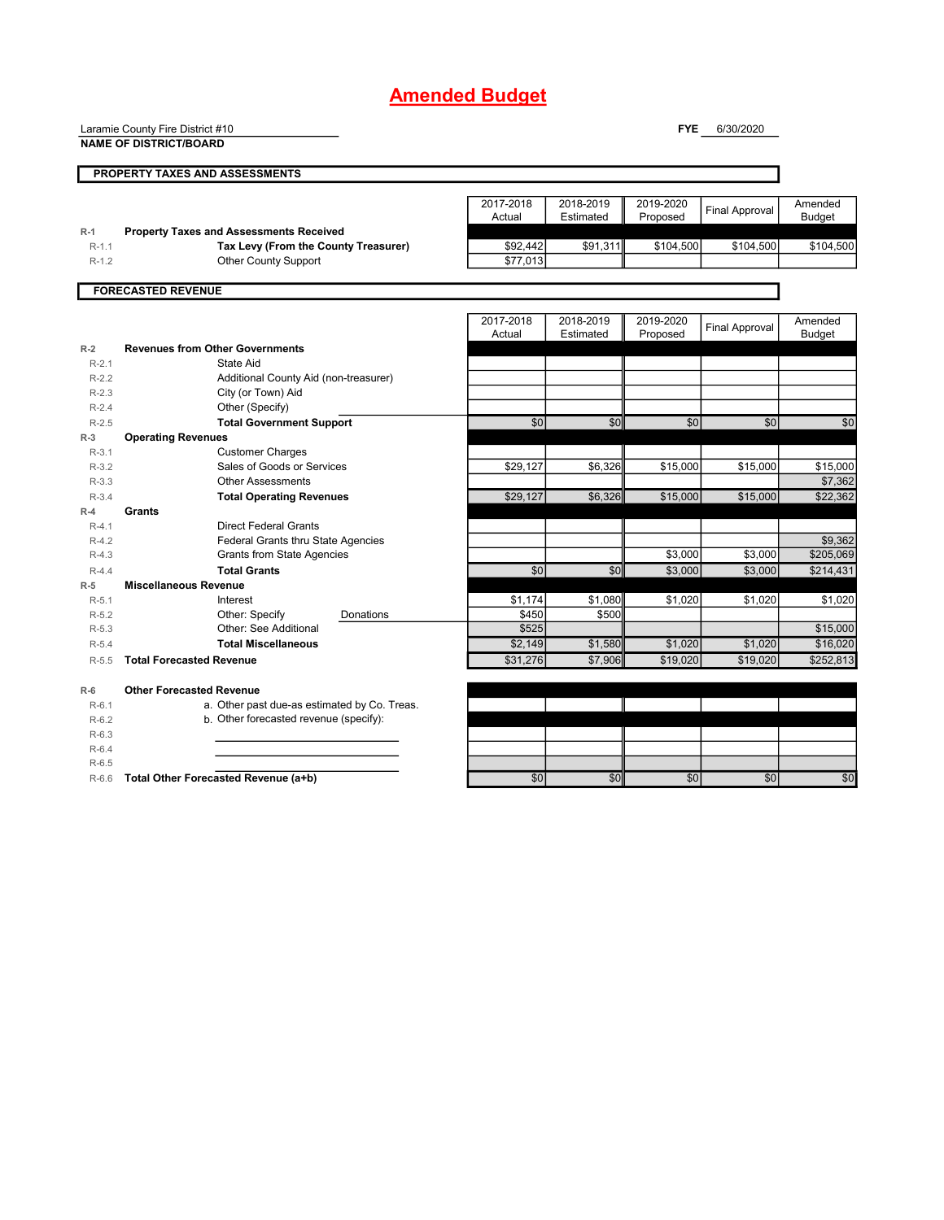Laramie County Fire District #10

**NAME OF DISTRICT/BOARD**

**FYE** 6/30/2020

|         | <b>PROPERTY TAXES AND ASSESSMENTS</b>          |                     |                        |                       |                       |                          |
|---------|------------------------------------------------|---------------------|------------------------|-----------------------|-----------------------|--------------------------|
|         |                                                |                     |                        |                       |                       |                          |
|         |                                                | 2017-2018           | 2018-2019              | 2019-2020             | <b>Final Approval</b> | Amended                  |
|         |                                                | Actual              | Estimated              | Proposed              |                       | <b>Budget</b>            |
| $R-1$   | <b>Property Taxes and Assessments Received</b> |                     |                        |                       |                       |                          |
| $R-1.1$ | Tax Levy (From the County Treasurer)           | \$92,442            | \$91,311               | \$104,500             | \$104,500             | \$104,500                |
| $R-1.2$ | Other County Support                           | \$77,013            |                        |                       |                       |                          |
|         | <b>FORECASTED REVENUE</b>                      |                     |                        |                       |                       |                          |
|         |                                                |                     |                        |                       |                       |                          |
|         |                                                | 2017-2018<br>Actual | 2018-2019<br>Estimated | 2019-2020<br>Proposed | <b>Final Approval</b> | Amended<br><b>Budget</b> |
| $R-2$   | <b>Revenues from Other Governments</b>         |                     |                        |                       |                       |                          |
| $R-2.1$ | State Aid                                      |                     |                        |                       |                       |                          |
| $R-2.2$ | Additional County Aid (non-treasurer)          |                     |                        |                       |                       |                          |
| $R-2.3$ | City (or Town) Aid                             |                     |                        |                       |                       |                          |
| $R-2.4$ | Other (Specify)                                |                     |                        |                       |                       |                          |
| $R-2.5$ | <b>Total Government Support</b>                | \$0                 | \$0                    | \$0                   | \$0                   | \$0                      |
| $R-3$   | <b>Operating Revenues</b>                      |                     |                        |                       |                       |                          |
| $R-3.1$ | <b>Customer Charges</b>                        |                     |                        |                       |                       |                          |
| $R-3.2$ | Sales of Goods or Services                     | \$29,127            | \$6,326                | \$15,000              | \$15,000              | \$15,000                 |
| $R-3.3$ | <b>Other Assessments</b>                       |                     |                        |                       |                       | \$7,362                  |
| $R-3.4$ | <b>Total Operating Revenues</b>                | \$29,127            | \$6,326                | \$15,000              | \$15,000              | \$22,362                 |
| $R-4$   | <b>Grants</b>                                  |                     |                        |                       |                       |                          |
| $R-4.1$ | <b>Direct Federal Grants</b>                   |                     |                        |                       |                       |                          |
| $R-4.2$ | Federal Grants thru State Agencies             |                     |                        |                       |                       | \$9,362                  |
| $R-4.3$ | Grants from State Agencies                     |                     |                        | \$3,000               | \$3,000               | \$205,069                |
| $R-4.4$ | <b>Total Grants</b>                            | $\frac{6}{5}$       | \$0                    | \$3,000               | \$3,000               | \$214,431                |
| $R-5$   | <b>Miscellaneous Revenue</b>                   |                     |                        |                       |                       |                          |
| $R-5.1$ | Interest                                       | \$1,174             | \$1,080                | \$1,020               | \$1,020               | \$1,020                  |
| $R-5.2$ | Other: Specify<br>Donations                    | \$450               | \$500                  |                       |                       |                          |
| $R-5.3$ | Other: See Additional                          | \$525               |                        |                       |                       | \$15,000                 |
| $R-5.4$ | <b>Total Miscellaneous</b>                     | \$2,149             | \$1,580                | \$1,020               | \$1,020               | \$16,020                 |
| $R-5.5$ | <b>Total Forecasted Revenue</b>                | \$31,276            | \$7,906                | \$19,020              | \$19,020              | \$252,813                |
| $R-6$   | <b>Other Forecasted Revenue</b>                |                     |                        |                       |                       |                          |
| $R-6.1$ | a. Other past due-as estimated by Co. Treas.   |                     |                        |                       |                       |                          |
| $R-6.2$ | b. Other forecasted revenue (specify):         |                     |                        |                       |                       |                          |
| $R-6.3$ |                                                |                     |                        |                       |                       |                          |
| $R-6.4$ |                                                |                     |                        |                       |                       |                          |
| $R-6.5$ |                                                |                     |                        |                       |                       |                          |
| $R-6.6$ | Total Other Forecasted Revenue (a+b)           | \$0                 | \$0                    | \$0                   | \$0                   | \$0                      |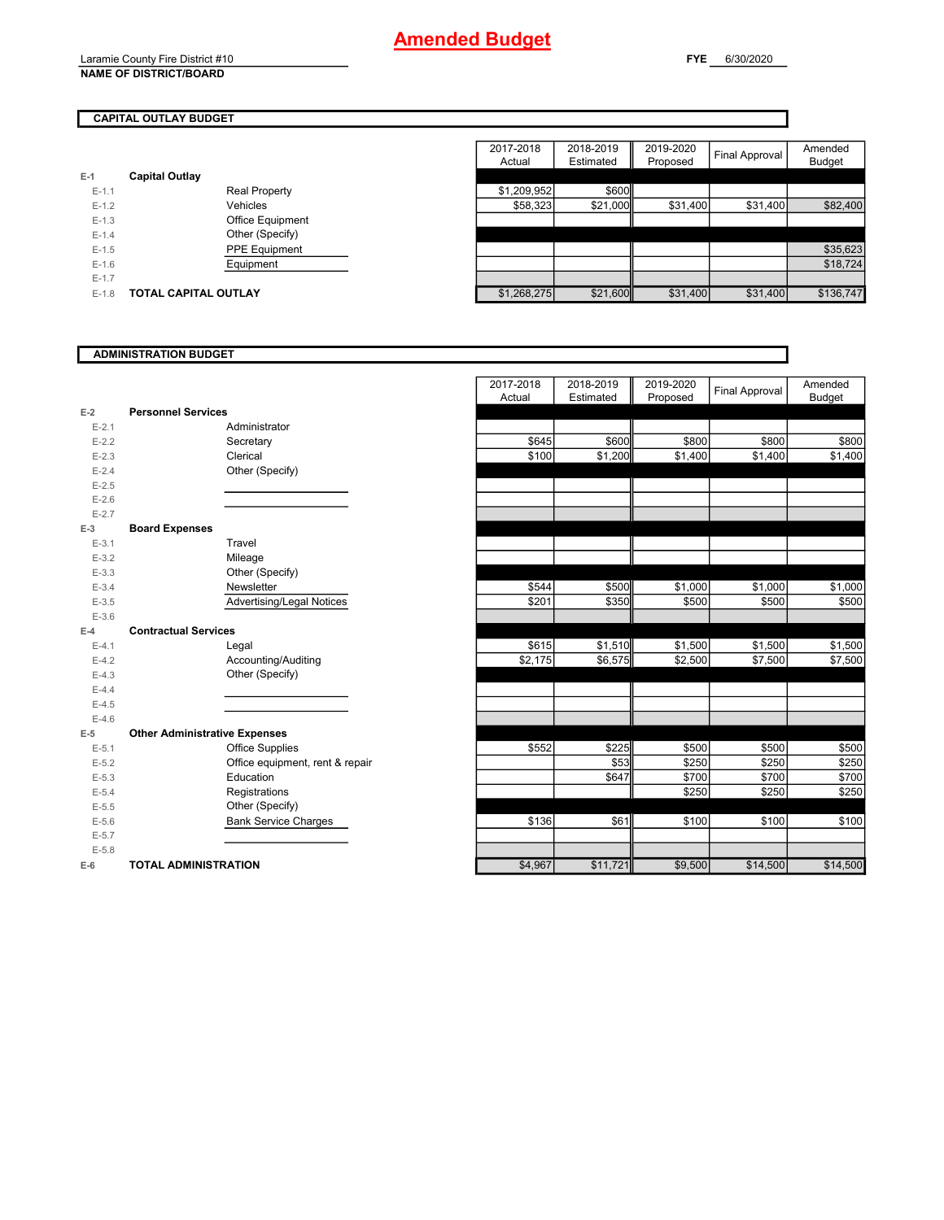Laramie County Fire District #10 **NAME OF DISTRICT/BOARD**

**FYE** 6/30/2020

#### **CAPITAL OUTLAY BUDGET**

| $E-1$   | <b>Capital Outlay</b>       |             |          |
|---------|-----------------------------|-------------|----------|
| $E-1.1$ | <b>Real Property</b>        | \$1,209,952 | \$600    |
| $E-1.2$ | Vehicles                    | \$58,323    | \$21,000 |
| $E-1.3$ | <b>Office Equipment</b>     |             |          |
| $E-1.4$ | Other (Specify)             |             |          |
| $E-1.5$ | <b>PPE Equipment</b>        |             |          |
| $E-1.6$ | Equipment                   |             |          |
| $E-1.7$ |                             |             |          |
| $E-1.8$ | <b>TOTAL CAPITAL OUTLAY</b> | \$1,268,275 | \$21,600 |

|         |                             |                      | 2017-2018<br>Actual | 2018-2019<br>Estimated | 2019-2020<br>Proposed | Final Approval | Amended<br><b>Budget</b> |
|---------|-----------------------------|----------------------|---------------------|------------------------|-----------------------|----------------|--------------------------|
|         | <b>Capital Outlay</b>       |                      |                     |                        |                       |                |                          |
| $E-1.1$ |                             | <b>Real Property</b> | \$1,209,952         | \$600                  |                       |                |                          |
| $E-1.2$ |                             | Vehicles             | \$58,323            | \$21,000               | \$31,400              | \$31,400       | \$82,400                 |
| $E-1.3$ |                             | Office Equipment     |                     |                        |                       |                |                          |
| $E-1.4$ |                             | Other (Specify)      |                     |                        |                       |                |                          |
| $E-1.5$ |                             | PPE Equipment        |                     |                        |                       |                | \$35,623                 |
| $E-1.6$ |                             | Equipment            |                     |                        |                       |                | \$18,724                 |
| $E-1.7$ |                             |                      |                     |                        |                       |                |                          |
| $E-1.8$ | <b>TOTAL CAPITAL OUTLAY</b> |                      | \$1,268,275         | \$21,600               | \$31,400              | \$31,400       | \$136,747                |

#### **ADMINISTRATION BUDGET**

|           |                                      | 2017-2018<br>Actual |         | 2018-2019<br>Estimated | 2019-2020<br>Proposed | <b>Final Approval</b> | Amended<br><b>Budget</b> |
|-----------|--------------------------------------|---------------------|---------|------------------------|-----------------------|-----------------------|--------------------------|
| $E-2$     | <b>Personnel Services</b>            |                     |         |                        |                       |                       |                          |
| $E - 2.1$ | Administrator                        |                     |         |                        |                       |                       |                          |
| $E - 2.2$ | Secretary                            |                     | \$645   | \$600                  | \$800                 | \$800                 | \$800                    |
| $E - 2.3$ | Clerical                             |                     | \$100   | \$1,200                | \$1,400               | \$1,400               | \$1,400                  |
| $E - 2.4$ | Other (Specify)                      |                     |         |                        |                       |                       |                          |
| $E - 2.5$ |                                      |                     |         |                        |                       |                       |                          |
| $E - 2.6$ |                                      |                     |         |                        |                       |                       |                          |
| $E - 2.7$ |                                      |                     |         |                        |                       |                       |                          |
| $E-3$     | <b>Board Expenses</b>                |                     |         |                        |                       |                       |                          |
| $E-3.1$   | Travel                               |                     |         |                        |                       |                       |                          |
| $E - 3.2$ | Mileage                              |                     |         |                        |                       |                       |                          |
| $E-3.3$   | Other (Specify)                      |                     |         |                        |                       |                       |                          |
| $E - 3.4$ | Newsletter                           |                     | \$544   | \$500                  | \$1,000               | \$1,000               | \$1,000                  |
| $E-3.5$   | Advertising/Legal Notices            |                     | \$201   | \$350                  | \$500                 | \$500                 | \$500                    |
| $E - 3.6$ |                                      |                     |         |                        |                       |                       |                          |
| $E-4$     | <b>Contractual Services</b>          |                     |         |                        |                       |                       |                          |
| $E - 4.1$ | Legal                                |                     | \$615   | \$1,510                | \$1,500               | \$1,500               | \$1,500                  |
| $E-4.2$   | Accounting/Auditing                  |                     | \$2,175 | \$6,575                | \$2,500               | \$7,500               | \$7,500                  |
| $E-4.3$   | Other (Specify)                      |                     |         |                        |                       |                       |                          |
| $E-4.4$   |                                      |                     |         |                        |                       |                       |                          |
| $E-4.5$   |                                      |                     |         |                        |                       |                       |                          |
| $E-4.6$   |                                      |                     |         |                        |                       |                       |                          |
| $E-5$     | <b>Other Administrative Expenses</b> |                     |         |                        |                       |                       |                          |
| $E-5.1$   | Office Supplies                      |                     | \$552   | \$225                  | \$500                 | \$500                 | \$500                    |
| $E-5.2$   | Office equipment, rent & repair      |                     |         | \$53                   | \$250                 | \$250                 | \$250                    |
| $E-5.3$   | Education                            |                     |         | \$647                  | \$700                 | \$700                 | \$700                    |
| $E - 5.4$ | Registrations                        |                     |         |                        | \$250                 | \$250                 | \$250                    |
| $E - 5.5$ | Other (Specify)                      |                     |         |                        |                       |                       |                          |
| $E-5.6$   | <b>Bank Service Charges</b>          |                     | \$136   | \$61                   | \$100                 | \$100                 | \$100                    |
| $E-5.7$   |                                      |                     |         |                        |                       |                       |                          |
| $E - 5.8$ |                                      |                     |         |                        |                       |                       |                          |
| $E-6$     | <b>TOTAL ADMINISTRATION</b>          |                     | \$4,967 | \$11,721               | \$9,500               | \$14,500              | \$14,500                 |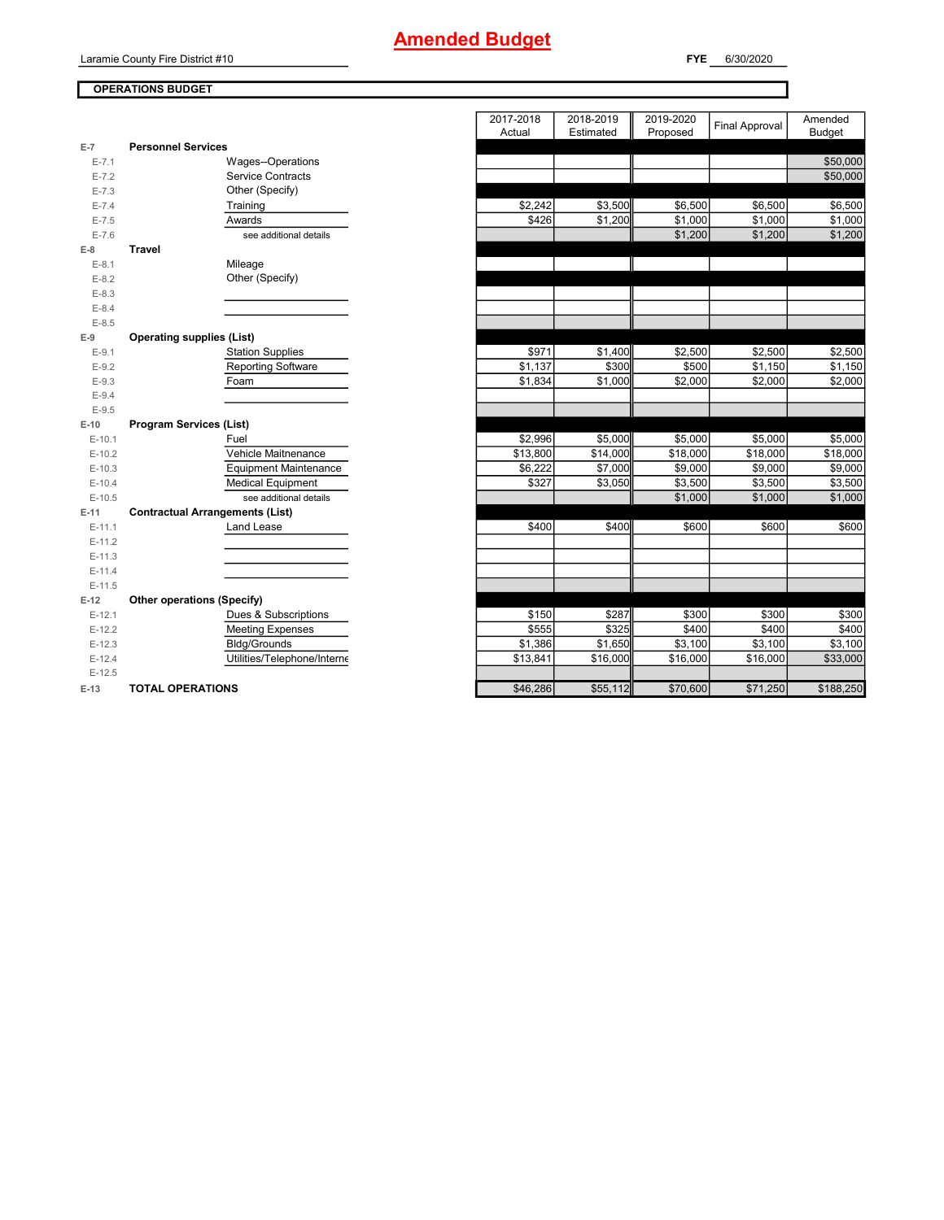### **OPERATIONS BUDGET** Laramie County Fire District #10

| E-7       | <b>Personnel Services</b>              |  |
|-----------|----------------------------------------|--|
| $E - 7.1$ | Wages--Operations                      |  |
| $E - 7.2$ | <b>Service Contracts</b>               |  |
| $E - 7.3$ | Other (Specify)                        |  |
| $E - 7.4$ | Training                               |  |
| $E - 7.5$ | Awards                                 |  |
| $E - 7.6$ | see additional details                 |  |
| $E-8$     | <b>Travel</b>                          |  |
| $E-8.1$   | Mileage                                |  |
| $E-8.2$   | Other (Specify)                        |  |
| $E-8.3$   |                                        |  |
| $E - 8.4$ |                                        |  |
| $E - 8.5$ |                                        |  |
| $E-9$     | <b>Operating supplies (List)</b>       |  |
| $E-9.1$   | <b>Station Supplies</b>                |  |
| $E-9.2$   | <b>Reporting Software</b>              |  |
| $E-9.3$   | Foam                                   |  |
| $E-9.4$   |                                        |  |
| $E-9.5$   |                                        |  |
| $E-10$    | <b>Program Services (List)</b>         |  |
| $E-10.1$  | Fuel                                   |  |
| $E-10.2$  | Vehicle Maitnenance                    |  |
| $E-10.3$  | <b>Equipment Maintenance</b>           |  |
| $E-10.4$  | <b>Medical Equipment</b>               |  |
| $E-10.5$  | see additional details                 |  |
| $E-11$    | <b>Contractual Arrangements (List)</b> |  |
| $E-11.1$  | Land Lease                             |  |
| $E-11.2$  |                                        |  |
| $E-11.3$  |                                        |  |
| $E-11.4$  |                                        |  |
| $E-11.5$  |                                        |  |
| $E-12$    | <b>Other operations (Specify)</b>      |  |
| $E-12.1$  | Dues & Subscriptions                   |  |
| $E-12.2$  | <b>Meeting Expenses</b>                |  |
| $E-12.3$  | <b>Bldg/Grounds</b>                    |  |
| $E-12.4$  | Utilities/Telephone/Interne            |  |
| $E-12.5$  |                                        |  |
| $E-13$    | <b>TOTAL OPERATIONS</b>                |  |

|                |                                        | 2017-2018<br>Actual | 2018-2019<br>Estimated | 2019-2020<br>Proposed | <b>Final Approval</b> | Amended<br><b>Budget</b> |
|----------------|----------------------------------------|---------------------|------------------------|-----------------------|-----------------------|--------------------------|
| $\overline{7}$ | <b>Personnel Services</b>              |                     |                        |                       |                       |                          |
| $E - 7.1$      | Wages--Operations                      |                     |                        |                       |                       | \$50,000                 |
| $E - 7.2$      | <b>Service Contracts</b>               |                     |                        |                       |                       | \$50,000                 |
| $E - 7.3$      | Other (Specify)                        |                     |                        |                       |                       |                          |
| $E - 7.4$      | Training                               | \$2,242             | \$3,500                | \$6,500               | \$6,500               | \$6,500                  |
| $E - 7.5$      | Awards                                 | \$426               | \$1,200                | \$1,000               | \$1,000               | \$1,000                  |
| $E - 7.6$      | see additional details                 |                     |                        | \$1,200               | \$1,200               | \$1,200                  |
| 8              | <b>Travel</b>                          |                     |                        |                       |                       |                          |
| $E-8.1$        | Mileage                                |                     |                        |                       |                       |                          |
| $E-8.2$        | Other (Specify)                        |                     |                        |                       |                       |                          |
| $E-8.3$        |                                        |                     |                        |                       |                       |                          |
| $E-8.4$        |                                        |                     |                        |                       |                       |                          |
| $E-8.5$        |                                        |                     |                        |                       |                       |                          |
| 9              | <b>Operating supplies (List)</b>       |                     |                        |                       |                       |                          |
| $E-9.1$        | <b>Station Supplies</b>                | \$971               | \$1,400                | \$2,500               | \$2,500               | \$2,500                  |
| $E-9.2$        | <b>Reporting Software</b>              | \$1,137             | \$300                  | \$500                 | \$1,150               | \$1,150                  |
| $E-9.3$        | Foam                                   | \$1,834             | \$1,000                | \$2.000               | \$2,000               | \$2,000                  |
| $E-9.4$        |                                        |                     |                        |                       |                       |                          |
| $E-9.5$        |                                        |                     |                        |                       |                       |                          |
| 10             | <b>Program Services (List)</b>         |                     |                        |                       |                       |                          |
| $E-10.1$       | Fuel                                   | \$2,996             | \$5,000                | \$5,000               | \$5,000               | \$5,000                  |
| $E-10.2$       | Vehicle Maitnenance                    | \$13,800            | \$14,000               | \$18,000              | \$18,000              | \$18,000                 |
| $E-10.3$       | <b>Equipment Maintenance</b>           | \$6.222             | \$7,000                | \$9,000               | \$9,000               | \$9,000                  |
| $E-10.4$       | <b>Medical Equipment</b>               | \$327               | \$3,050                | \$3,500               | \$3,500               | \$3,500                  |
| $E-10.5$       | see additional details                 |                     |                        | \$1,000               | \$1,000               | \$1,000                  |
| 11             | <b>Contractual Arrangements (List)</b> |                     |                        |                       |                       |                          |
| $E-11.1$       | Land Lease                             | \$400               | \$400                  | \$600                 | \$600                 | \$600                    |
| $E-11.2$       |                                        |                     |                        |                       |                       |                          |
| E-11.3         |                                        |                     |                        |                       |                       |                          |
| $E-11.4$       |                                        |                     |                        |                       |                       |                          |
| $E-11.5$       |                                        |                     |                        |                       |                       |                          |
| 12             | Other operations (Specify)             |                     |                        |                       |                       |                          |
| $E-12.1$       | Dues & Subscriptions                   | \$150               | \$287                  | \$300                 | \$300                 | \$300                    |
| $E-12.2$       | <b>Meeting Expenses</b>                | \$555               | \$325                  | \$400                 | \$400                 | \$400                    |
| $E-12.3$       | Bldg/Grounds                           | \$1,386             | \$1,650                | \$3,100               | \$3,100               | \$3,100                  |
| $E-12.4$       | Utilities/Telephone/Interne            | \$13,841            | \$16,000               | \$16,000              | \$16,000              | \$33,000                 |
| $E-12.5$       |                                        |                     |                        |                       |                       |                          |
| 13             | <b>TOTAL OPERATIONS</b>                | \$46,286            | \$55,112               | \$70,600              | \$71,250              | \$188,250                |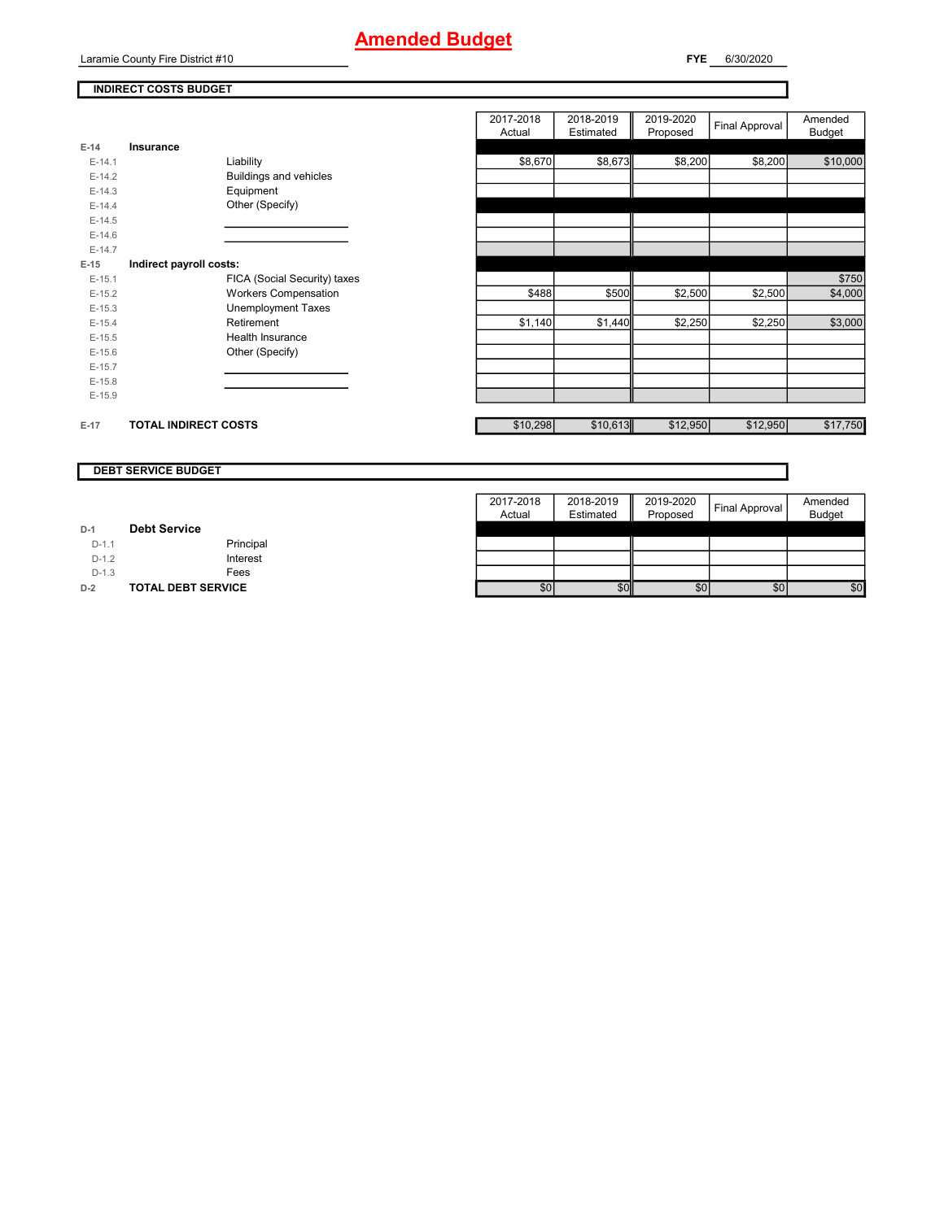Laramie County Fire District #10

**FYE** 6/30/2020

#### **INDIRECT COSTS BUDGET**

|          |                              | 2017-2018<br>Actual | 2018-2019<br>Estimated | 2019-2020<br>Proposed | Final Approval | Amended<br><b>Budget</b> |
|----------|------------------------------|---------------------|------------------------|-----------------------|----------------|--------------------------|
| $E-14$   | Insurance                    |                     |                        |                       |                |                          |
| $E-14.1$ | Liability                    | \$8,670             | \$8,673                | \$8,200               | \$8,200        | \$10,000                 |
| $E-14.2$ | Buildings and vehicles       |                     |                        |                       |                |                          |
| $E-14.3$ | Equipment                    |                     |                        |                       |                |                          |
| $E-14.4$ | Other (Specify)              |                     |                        |                       |                |                          |
| $E-14.5$ |                              |                     |                        |                       |                |                          |
| $E-14.6$ |                              |                     |                        |                       |                |                          |
| $E-14.7$ |                              |                     |                        |                       |                |                          |
| $E-15$   | Indirect payroll costs:      |                     |                        |                       |                |                          |
| $E-15.1$ | FICA (Social Security) taxes |                     |                        |                       |                | \$750                    |
| $E-15.2$ | <b>Workers Compensation</b>  | \$488               | \$500                  | \$2,500               | \$2,500        | \$4,000                  |
| $E-15.3$ | <b>Unemployment Taxes</b>    |                     |                        |                       |                |                          |
| $E-15.4$ | Retirement                   | \$1,140             | \$1,440                | \$2,250               | \$2,250        | \$3,000                  |
| $E-15.5$ | <b>Health Insurance</b>      |                     |                        |                       |                |                          |
| $E-15.6$ | Other (Specify)              |                     |                        |                       |                |                          |
| $E-15.7$ |                              |                     |                        |                       |                |                          |
| $E-15.8$ |                              |                     |                        |                       |                |                          |
| $E-15.9$ |                              |                     |                        |                       |                |                          |
|          |                              |                     |                        |                       |                |                          |
| $E-17$   | <b>TOTAL INDIRECT COSTS</b>  | \$10,298            | \$10,613               | \$12,950              | \$12,950       | \$17,750                 |

#### **DEBT SERVICE BUDGET**

|         |                           | 2017-2018 | 2018-2019 | 2019-2020 | Final Approval | Amended       |
|---------|---------------------------|-----------|-----------|-----------|----------------|---------------|
|         |                           | Actual    | Estimated | Proposed  |                | <b>Budget</b> |
| $D-1$   | <b>Debt Service</b>       |           |           |           |                |               |
| $D-1.1$ | Principal                 |           |           |           |                |               |
| $D-1.2$ | Interest                  |           |           |           |                |               |
| $D-1.3$ | Fees                      |           |           |           |                |               |
| $D-2$   | <b>TOTAL DEBT SERVICE</b> | \$0       | \$0       | \$0       | \$0            | \$0           |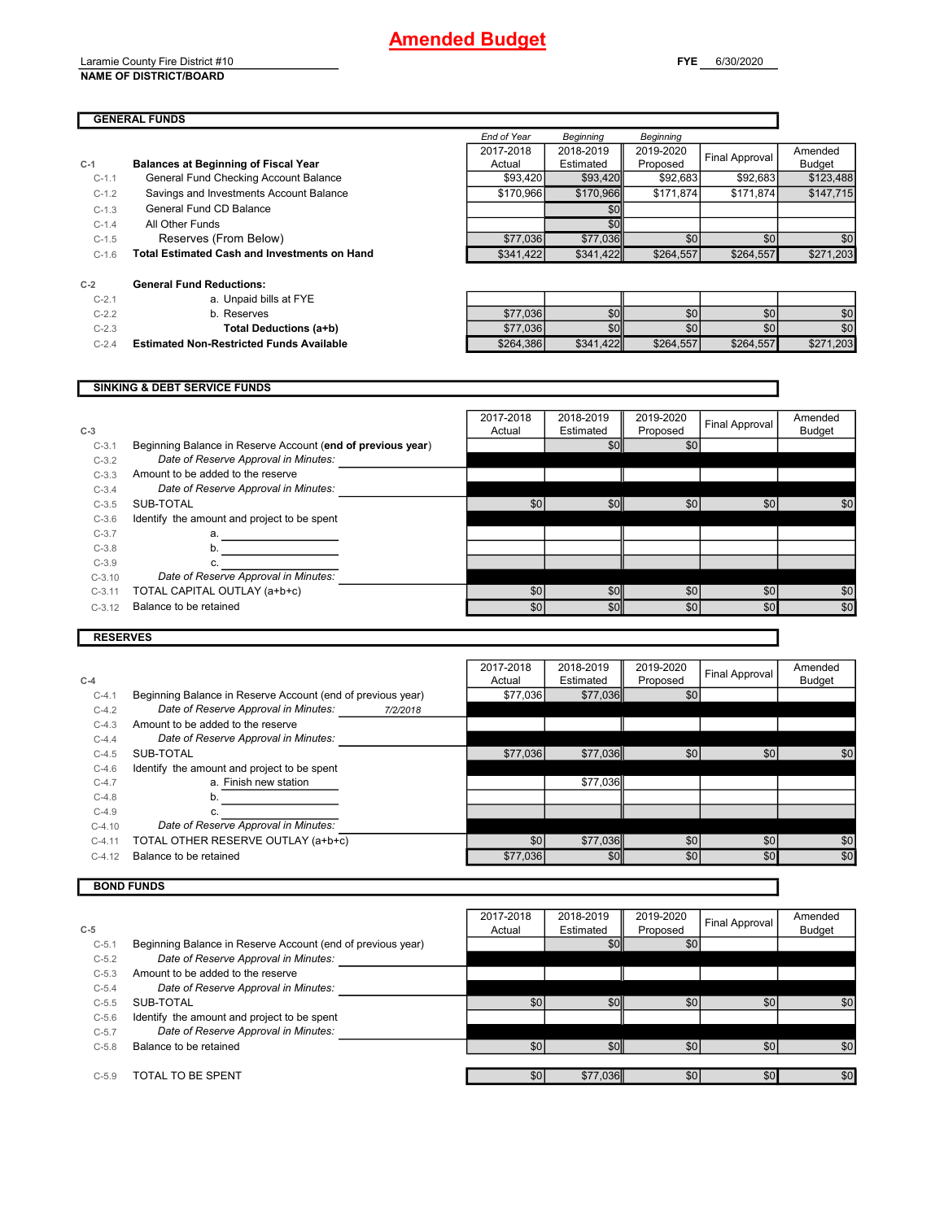Laramie County Fire District #10 **NAME OF DISTRICT/BOARD**

#### **GENERAL FUNDS**

| $C-2$   | <b>General Fund Reductions:</b>                     |           |           |           |           |           |
|---------|-----------------------------------------------------|-----------|-----------|-----------|-----------|-----------|
| C-1.6   | <b>Total Estimated Cash and Investments on Hand</b> | \$341.422 | \$341.422 | \$264.557 | \$264.557 | \$271.203 |
| $C-1.5$ | Reserves (From Below)                               | \$77.036  | \$77,036  | \$0       | \$0       | \$0       |
|         |                                                     |           |           |           |           |           |

| $C-2.1$ | a. Unpaid bills at FYE |
|---------|------------------------|
| $C-2.2$ | b. Reserves            |

**C-1 Balances at Beginning of Fiscal Year**

| <b>Total Deductions (a+b)</b> |
|-------------------------------|
|                               |

**C-2.4 Estimated Non-Restricted Funds Available** 

|         | OCHCLAIT UNU REUUCHUNG.                         |           |                  |           |           |           |
|---------|-------------------------------------------------|-----------|------------------|-----------|-----------|-----------|
| $C-2.1$ | a. Unpaid bills at FYE                          |           |                  |           |           |           |
| $C-2.2$ | ມ. Reserves                                     | \$77,036  | \$0 <sub>1</sub> | \$0       | \$0       | \$0       |
| $C-2.3$ | Total Deductions (a+b)                          | \$77,036  | \$0 <sub>1</sub> | \$0       | \$0       | \$0       |
| $C-2.4$ | <b>Estimated Non-Restricted Funds Available</b> | \$264,386 | \$341.422        | \$264.557 | \$264,557 | \$271,203 |

|          | <b>SINKING &amp; DEBT SERVICE FUNDS</b>                     |                     |                        |                       |                |                          |
|----------|-------------------------------------------------------------|---------------------|------------------------|-----------------------|----------------|--------------------------|
| $C-3$    |                                                             | 2017-2018<br>Actual | 2018-2019<br>Estimated | 2019-2020<br>Proposed | Final Approval | Amended<br><b>Budget</b> |
| $C-3.1$  | Beginning Balance in Reserve Account (end of previous year) |                     | \$0                    | \$0                   |                |                          |
| $C-3.2$  | Date of Reserve Approval in Minutes:                        |                     |                        |                       |                |                          |
| $C-3.3$  | Amount to be added to the reserve                           |                     |                        |                       |                |                          |
| $C-3.4$  | Date of Reserve Approval in Minutes:                        |                     |                        |                       |                |                          |
| $C-3.5$  | SUB-TOTAL                                                   | \$0 <sub>1</sub>    | \$0                    | \$0                   | \$0            | \$0                      |
| $C-3.6$  | Identify the amount and project to be spent                 |                     |                        |                       |                |                          |
| $C-3.7$  | a.                                                          |                     |                        |                       |                |                          |
| $C-3.8$  | b.                                                          |                     |                        |                       |                |                          |
| $C-3.9$  |                                                             |                     |                        |                       |                |                          |
| $C-3.10$ | Date of Reserve Approval in Minutes:                        |                     |                        |                       |                |                          |
| $C-3.11$ | TOTAL CAPITAL OUTLAY (a+b+c)                                | \$0                 | \$0                    | \$0                   | \$0            | \$0                      |
| $C-3.12$ | Balance to be retained                                      | \$0                 | \$0                    | \$0                   | \$0            | \$0                      |

### **RESERVES**

| $C-4$    |                                                             |          | 2017-2018<br>Actual | 2018-2019<br>Estimated | 2019-2020<br>Proposed | Final Approval | Amended<br><b>Budget</b> |
|----------|-------------------------------------------------------------|----------|---------------------|------------------------|-----------------------|----------------|--------------------------|
| $C-4.1$  | Beginning Balance in Reserve Account (end of previous year) |          | \$77,036            | \$77,036               | \$0                   |                |                          |
| $C-4.2$  | Date of Reserve Approval in Minutes:                        | 7/2/2018 |                     |                        |                       |                |                          |
| $C-4.3$  | Amount to be added to the reserve                           |          |                     |                        |                       |                |                          |
| $C-4.4$  | Date of Reserve Approval in Minutes:                        |          |                     |                        |                       |                |                          |
| $C-4.5$  | SUB-TOTAL                                                   |          | \$77,036            | \$77,036               | \$0                   | \$0            | \$0                      |
| $C-4.6$  | Identify the amount and project to be spent                 |          |                     |                        |                       |                |                          |
| $C-4.7$  | a. Finish new station                                       |          |                     | \$77.036               |                       |                |                          |
| $C-4.8$  |                                                             |          |                     |                        |                       |                |                          |
| $C-4.9$  |                                                             |          |                     |                        |                       |                |                          |
| $C-4.10$ | Date of Reserve Approval in Minutes:                        |          |                     |                        |                       |                |                          |
| $C-4.11$ | TOTAL OTHER RESERVE OUTLAY (a+b+c)                          |          | \$0                 | \$77,036               | \$0                   | \$0            | \$0                      |
| $C-4.12$ | Balance to be retained                                      |          | \$77,036            | \$0 <sub>1</sub>       | \$0                   | \$0            | \$0                      |

#### **BOND FUNDS**

| $C-5$     |                                                             | 2017-2018<br>Actual | 2018-2019<br>Estimated | 2019-2020<br>Proposed | Final Approval | Amended<br><b>Budget</b> |
|-----------|-------------------------------------------------------------|---------------------|------------------------|-----------------------|----------------|--------------------------|
| $C-5.1$   | Beginning Balance in Reserve Account (end of previous year) |                     | \$0                    | \$0                   |                |                          |
| $C-5.2$   | Date of Reserve Approval in Minutes:                        |                     |                        |                       |                |                          |
| $C-5.3$   | Amount to be added to the reserve                           |                     |                        |                       |                |                          |
| $C-5.4$   | Date of Reserve Approval in Minutes:                        |                     |                        |                       |                |                          |
| $C - 5.5$ | SUB-TOTAL                                                   | \$0                 | \$0                    | \$0                   | \$0            | \$0                      |
| $C - 5.6$ | Identify the amount and project to be spent                 |                     |                        |                       |                |                          |
| $C-5.7$   | Date of Reserve Approval in Minutes:                        |                     |                        |                       |                |                          |
| $C-5.8$   | Balance to be retained                                      | \$0                 | \$0                    | \$0                   | \$0            | \$0                      |
|           |                                                             |                     |                        |                       |                |                          |
| $C-5.9$   | TOTAL TO BE SPENT                                           | \$0                 | \$77,036               | \$0                   | \$0            | \$0                      |